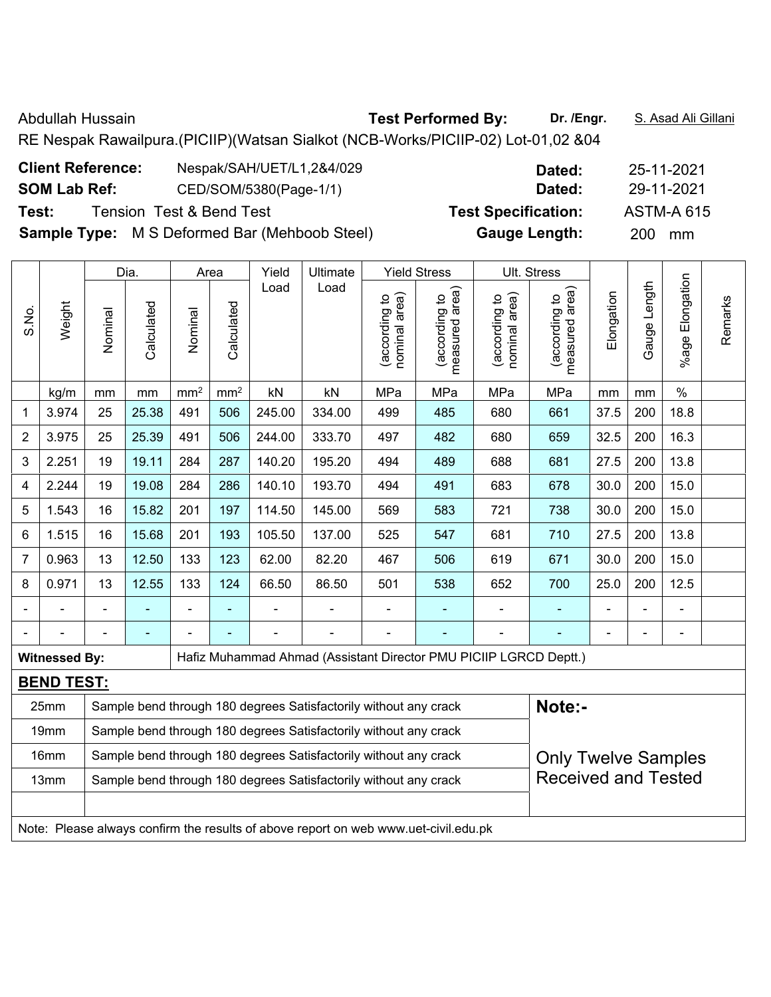| Abdullah Hussain                                                                 | <b>Test Performed By:</b> | Dr. /Engr. | <u>S. Asad Ali Gillani</u> |
|----------------------------------------------------------------------------------|---------------------------|------------|----------------------------|
| RE Nespak Rawailpura.(PICIIP)(Watsan Sialkot (NCB-Works/PICIIP-02) Lot-01,02 &04 |                           |            |                            |

| Nespak/SAH/UET/L1,2&4/029<br>Dated:                                          | 25-11-2021        |
|------------------------------------------------------------------------------|-------------------|
| CED/SOM/5380(Page-1/1)<br>Dated:                                             | 29-11-2021        |
| <b>Test Specification:</b>                                                   | <b>ASTM-A 615</b> |
| <b>Sample Type:</b> M S Deformed Bar (Mehboob Steel)<br><b>Gauge Length:</b> | <b>200</b><br>mm  |
|                                                                              |                   |

|       |                      |                                                                                                  | Dia.           |                          | Area            | Yield  | Ultimate                                                                            |                                | <b>Yield Stress</b>             |                                | Ult. Stress                     |            |                |                 |         |
|-------|----------------------|--------------------------------------------------------------------------------------------------|----------------|--------------------------|-----------------|--------|-------------------------------------------------------------------------------------|--------------------------------|---------------------------------|--------------------------------|---------------------------------|------------|----------------|-----------------|---------|
| S.No. | Weight               | Nominal                                                                                          | Calculated     | Nominal                  | Calculated      | Load   | Load                                                                                | nominal area)<br>(according to | (according to<br>measured area) | nominal area)<br>(according to | (according to<br>measured area) | Elongation | Gauge Length   | %age Elongation | Remarks |
|       | kg/m                 | mm                                                                                               | mm             | mm <sup>2</sup>          | mm <sup>2</sup> | kN     | kN                                                                                  | MPa                            | MPa                             | MPa                            | MPa                             | mm         | mm             | $\%$            |         |
| 1     | 3.974                | 25                                                                                               | 25.38          | 491                      | 506             | 245.00 | 334.00                                                                              | 499                            | 485                             | 680                            | 661                             | 37.5       | 200            | 18.8            |         |
| 2     | 3.975                | 25                                                                                               | 25.39          | 491                      | 506             | 244.00 | 333.70                                                                              | 497                            | 482                             | 680                            | 659                             | 32.5       | 200            | 16.3            |         |
| 3     | 2.251                | 19                                                                                               | 19.11          | 284                      | 287             | 140.20 | 195.20                                                                              | 494                            | 489                             | 688                            | 681                             | 27.5       | 200            | 13.8            |         |
| 4     | 2.244                | 19                                                                                               | 19.08          | 284                      | 286             | 140.10 | 193.70                                                                              | 494                            | 491                             | 683                            | 678                             | 30.0       | 200            | 15.0            |         |
| 5     | 1.543                | 16                                                                                               | 15.82          | 201                      | 197             | 114.50 | 145.00                                                                              | 569                            | 583                             | 721                            | 738                             | 30.0       | 200            | 15.0            |         |
| 6     | 1.515                | 15.68<br>105.50<br>16<br>201<br>193<br>137.00<br>525<br>547<br>681<br>27.5<br>200<br>13.8<br>710 |                |                          |                 |        |                                                                                     |                                |                                 |                                |                                 |            |                |                 |         |
| 7     | 0.963                | 13                                                                                               | 12.50          | 133                      | 123             | 62.00  | 82.20                                                                               | 467                            | 506                             | 619                            | 671                             | 30.0       | 200            | 15.0            |         |
| 8     | 0.971                | 13                                                                                               | 12.55          | 133                      | 124             | 66.50  | 86.50                                                                               | 501                            | 538                             | 652                            | 700                             | 25.0       | 200            | 12.5            |         |
|       |                      | $\blacksquare$                                                                                   | $\blacksquare$ | $\overline{\phantom{a}}$ | ä,              |        |                                                                                     |                                | $\blacksquare$                  | $\blacksquare$                 | $\blacksquare$                  |            | $\blacksquare$ | Ē,              |         |
|       |                      |                                                                                                  | $\blacksquare$ |                          |                 |        |                                                                                     |                                |                                 |                                |                                 |            |                | ä,              |         |
|       | <b>Witnessed By:</b> |                                                                                                  |                |                          |                 |        | Hafiz Muhammad Ahmad (Assistant Director PMU PICIIP LGRCD Deptt.)                   |                                |                                 |                                |                                 |            |                |                 |         |
|       | <b>BEND TEST:</b>    |                                                                                                  |                |                          |                 |        |                                                                                     |                                |                                 |                                |                                 |            |                |                 |         |
|       | 25mm                 |                                                                                                  |                |                          |                 |        | Sample bend through 180 degrees Satisfactorily without any crack                    |                                |                                 |                                | Note:-                          |            |                |                 |         |
|       | 19mm                 |                                                                                                  |                |                          |                 |        | Sample bend through 180 degrees Satisfactorily without any crack                    |                                |                                 |                                |                                 |            |                |                 |         |
|       | 16mm                 | Sample bend through 180 degrees Satisfactorily without any crack<br><b>Only Twelve Samples</b>   |                |                          |                 |        |                                                                                     |                                |                                 |                                |                                 |            |                |                 |         |
|       | 13mm                 |                                                                                                  |                |                          |                 |        | Sample bend through 180 degrees Satisfactorily without any crack                    |                                |                                 |                                | <b>Received and Tested</b>      |            |                |                 |         |
|       |                      |                                                                                                  |                |                          |                 |        | Note: Please always confirm the results of above report on web www.uet-civil.edu.pk |                                |                                 |                                |                                 |            |                |                 |         |
|       |                      |                                                                                                  |                |                          |                 |        |                                                                                     |                                |                                 |                                |                                 |            |                |                 |         |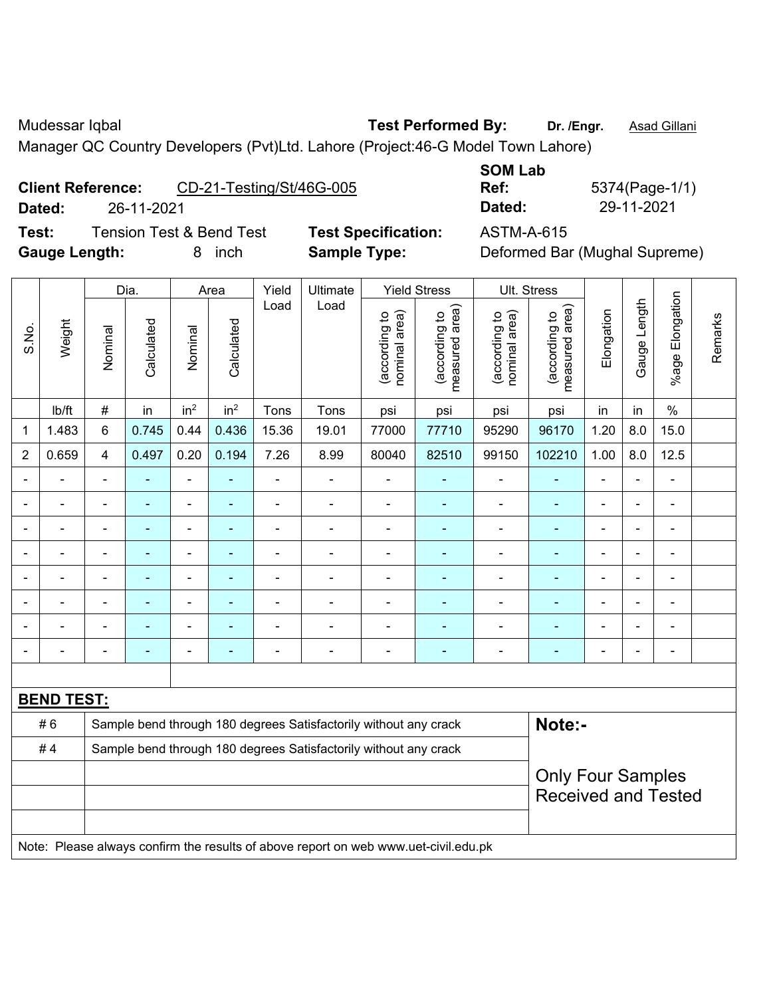Mudessar Iqbal **Test Performed By:** Dr. /Engr. **Asad Gillani** Culture 2014

Manager QC Country Developers (Pvt)Ltd. Lahore (Project:46-G Model Town Lahore)

**Client Reference:** CD-21-Testing/St/46G-005

**Dated:** 26-11-2021 **Dated:** 29-11-2021

**Test:** Tension Test & Bend Test **Test Specification:** ASTM-A-615 **Gauge Length:** 8 inch **Sample Type:** Deformed Bar (Mughal Supreme)

**SOM Lab Ref:** 5374(Page-1/1)

|                |                   |                                                                  | Dia.           |                 | Area            | Yield          | Ultimate                                                                            |                                | <b>Yield Stress</b>                         |                                | Ult. Stress                     |                |                |                 |         |
|----------------|-------------------|------------------------------------------------------------------|----------------|-----------------|-----------------|----------------|-------------------------------------------------------------------------------------|--------------------------------|---------------------------------------------|--------------------------------|---------------------------------|----------------|----------------|-----------------|---------|
| S.No.          | Weight            | Nominal                                                          | Calculated     | Nominal         | Calculated      | Load           | Load                                                                                | nominal area)<br>(according to | (according to<br>neasured area)<br>measured | nominal area)<br>(according to | (according to<br>measured area) | Elongation     | Gauge Length   | %age Elongation | Remarks |
|                | lb/ft             | #                                                                | in             | in <sup>2</sup> | in <sup>2</sup> | Tons           | Tons                                                                                | psi                            | psi                                         | psi                            | psi                             | in             | in             | $\frac{0}{0}$   |         |
| 1              | 1.483             | 6                                                                | 0.745          | 0.44            | 0.436           | 15.36          | 19.01                                                                               | 77000                          | 77710                                       | 95290                          | 96170                           | 1.20           | 8.0            | 15.0            |         |
| $\overline{2}$ | 0.659             | $\overline{\mathbf{4}}$                                          | 0.497          | 0.20            | 0.194           | 7.26           | 8.99                                                                                | 80040                          | 82510                                       | 99150                          | 102210                          | 1.00           | 8.0            | 12.5            |         |
|                |                   |                                                                  |                | $\blacksquare$  |                 | ä,             | $\overline{a}$                                                                      |                                |                                             |                                |                                 | ۰              |                | $\blacksquare$  |         |
|                |                   |                                                                  | $\blacksquare$ | ÷,              |                 | $\blacksquare$ | ÷                                                                                   | $\blacksquare$                 |                                             | $\blacksquare$                 | ÷                               | $\blacksquare$ | $\blacksquare$ | $\blacksquare$  |         |
|                |                   | $\blacksquare$                                                   | $\blacksquare$ | $\blacksquare$  | Ē.              | $\blacksquare$ | $\blacksquare$                                                                      | $\blacksquare$                 | ٠                                           | $\blacksquare$                 | ÷                               | $\blacksquare$ | $\blacksquare$ | $\blacksquare$  |         |
|                |                   |                                                                  | $\blacksquare$ | $\blacksquare$  |                 | $\blacksquare$ | $\blacksquare$                                                                      | $\blacksquare$                 | $\blacksquare$                              | $\blacksquare$                 | $\overline{\phantom{0}}$        | $\blacksquare$ | $\blacksquare$ | $\blacksquare$  |         |
|                | ä,                | $\blacksquare$                                                   | $\blacksquare$ | $\blacksquare$  | ä,              | $\blacksquare$ | ÷,                                                                                  | $\blacksquare$                 | $\blacksquare$                              | ÷,                             | ä,                              | $\blacksquare$ | $\blacksquare$ | ä,              |         |
|                |                   |                                                                  |                | $\blacksquare$  | ٠               | $\blacksquare$ |                                                                                     |                                |                                             | ä,                             | ÷                               |                |                | $\blacksquare$  |         |
|                |                   |                                                                  |                | $\overline{a}$  |                 |                |                                                                                     |                                |                                             |                                | $\blacksquare$                  |                |                |                 |         |
|                |                   |                                                                  |                | $\blacksquare$  | ۰               | $\blacksquare$ | $\blacksquare$                                                                      | $\blacksquare$                 | ٠                                           | ä,                             | $\blacksquare$                  | $\blacksquare$ | $\blacksquare$ | $\blacksquare$  |         |
|                |                   |                                                                  |                |                 |                 |                |                                                                                     |                                |                                             |                                |                                 |                |                |                 |         |
|                | <b>BEND TEST:</b> |                                                                  |                |                 |                 |                |                                                                                     |                                |                                             |                                |                                 |                |                |                 |         |
|                | #6                |                                                                  |                |                 |                 |                | Sample bend through 180 degrees Satisfactorily without any crack                    |                                |                                             |                                | Note:-                          |                |                |                 |         |
|                | #4                | Sample bend through 180 degrees Satisfactorily without any crack |                |                 |                 |                |                                                                                     |                                |                                             |                                |                                 |                |                |                 |         |
|                |                   |                                                                  |                |                 |                 |                |                                                                                     |                                |                                             |                                | <b>Only Four Samples</b>        |                |                |                 |         |
|                |                   |                                                                  |                |                 |                 |                |                                                                                     |                                |                                             |                                | <b>Received and Tested</b>      |                |                |                 |         |
|                |                   |                                                                  |                |                 |                 |                |                                                                                     |                                |                                             |                                |                                 |                |                |                 |         |
|                |                   |                                                                  |                |                 |                 |                | Note: Please always confirm the results of above report on web www.uet-civil.edu.pk |                                |                                             |                                |                                 |                |                |                 |         |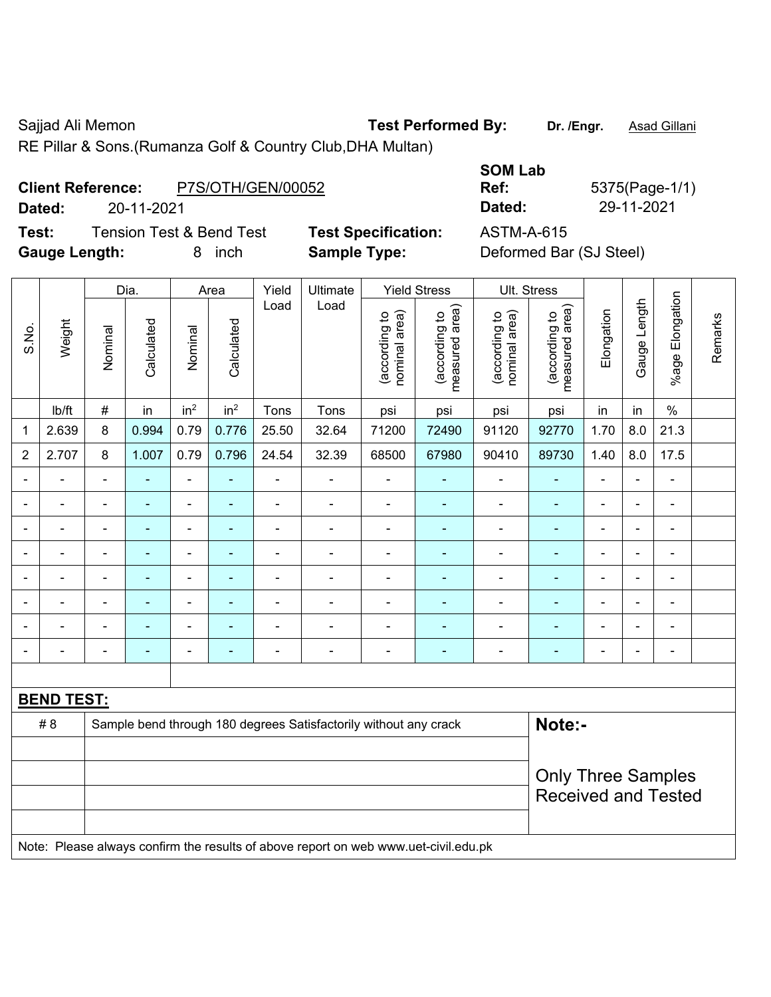Τ

Γ

Sajjad Ali Memon **Test Performed By:** Dr. /Engr. **Asad Gillani** Cali Ali Dengral Asad Gillani

RE Pillar & Sons.(Rumanza Golf & Country Club,DHA Multan)

## **Client Reference:** P7S/OTH/GEN/00052

**Dated:** 20-11-2021 **Dated:** 29-11-2021

**Test:** Tension Test & Bend Test **Test Specification:** ASTM-A-615 **Gauge Length:** 8 inch **Sample Type:** Deformed Bar (SJ Steel)

| <b>SOM Lab</b> |     |
|----------------|-----|
| Ref:           | 537 |
| Dated:         | 29  |
| ASTM-A-615     |     |

**Ref:** 5375(Page-1/1)

|                |                   |                          | Dia.           |                          | Area            | Yield                    | Ultimate                                                                            |                                | <b>Yield Stress</b>             |                                | Ult. Stress                     |                          |                |                           |         |
|----------------|-------------------|--------------------------|----------------|--------------------------|-----------------|--------------------------|-------------------------------------------------------------------------------------|--------------------------------|---------------------------------|--------------------------------|---------------------------------|--------------------------|----------------|---------------------------|---------|
| S.No.          | Weight            | Nominal                  | Calculated     | Nominal                  | Calculated      | Load                     | Load                                                                                | nominal area)<br>(according to | (according to<br>measured area) | nominal area)<br>(according to | (according to<br>measured area) | Elongation               | Gauge Length   | Elongation<br>$%$ age $ $ | Remarks |
|                | Ib/ft             | $\#$                     | in             | in <sup>2</sup>          | in <sup>2</sup> | Tons                     | Tons                                                                                | psi                            | psi                             | psi                            | psi                             | in                       | in             | $\%$                      |         |
| 1              | 2.639             | 8                        | 0.994          | 0.79                     | 0.776           | 25.50                    | 32.64                                                                               | 71200                          | 72490                           | 91120                          | 92770                           | 1.70                     | 8.0            | 21.3                      |         |
| $\overline{2}$ | 2.707             | 8                        | 1.007          | 0.79                     | 0.796           | 24.54                    | 32.39                                                                               | 68500                          | 67980                           | 90410                          | 89730                           | 1.40                     | 8.0            | 17.5                      |         |
|                |                   | $\blacksquare$           | ÷,             | $\blacksquare$           | $\blacksquare$  | $\overline{\phantom{0}}$ | ÷,                                                                                  | L,                             | ÷                               | ÷                              | $\blacksquare$                  | ä,                       | $\blacksquare$ | $\blacksquare$            |         |
|                |                   |                          | $\blacksquare$ | $\overline{\phantom{a}}$ | $\blacksquare$  | $\blacksquare$           | $\blacksquare$                                                                      | ÷                              | $\overline{\phantom{0}}$        | $\blacksquare$                 | $\overline{\phantom{a}}$        | $\overline{\phantom{a}}$ |                | $\blacksquare$            |         |
|                |                   |                          |                |                          |                 |                          |                                                                                     |                                |                                 | $\overline{\phantom{0}}$       |                                 |                          |                | $\blacksquare$            |         |
|                |                   | $\blacksquare$           |                | $\overline{a}$           |                 | $\blacksquare$           | ÷,                                                                                  | $\blacksquare$                 | $\blacksquare$                  | $\overline{\phantom{a}}$       | $\blacksquare$                  | $\blacksquare$           |                | $\blacksquare$            |         |
| $\blacksquare$ |                   | $\blacksquare$           | ۰              | $\blacksquare$           | ٠               | $\overline{a}$           | $\blacksquare$                                                                      | ä,                             | ÷,                              | $\blacksquare$                 | ٠                               | ä,                       | $\blacksquare$ | $\blacksquare$            |         |
|                |                   | $\blacksquare$           | ۰              | $\overline{a}$           | $\blacksquare$  | $\blacksquare$           | $\blacksquare$                                                                      | ä,                             | $\blacksquare$                  | $\blacksquare$                 | $\blacksquare$                  | $\blacksquare$           | $\blacksquare$ | $\blacksquare$            |         |
|                |                   | $\overline{\phantom{a}}$ | ä,             | $\overline{\phantom{a}}$ | $\blacksquare$  | $\blacksquare$           | ÷,                                                                                  | $\overline{a}$                 | $\blacksquare$                  | $\overline{\phantom{a}}$       | $\blacksquare$                  | $\overline{a}$           |                | $\blacksquare$            |         |
| $\blacksquare$ |                   | $\overline{\phantom{a}}$ | ä,             | $\blacksquare$           | $\blacksquare$  | $\blacksquare$           | $\blacksquare$                                                                      | $\blacksquare$                 | $\blacksquare$                  | $\overline{a}$                 | $\blacksquare$                  | $\blacksquare$           |                | $\blacksquare$            |         |
|                |                   |                          |                |                          |                 |                          |                                                                                     |                                |                                 |                                |                                 |                          |                |                           |         |
|                | <b>BEND TEST:</b> |                          |                |                          |                 |                          |                                                                                     |                                |                                 |                                |                                 |                          |                |                           |         |
|                | #8                |                          |                |                          |                 |                          | Sample bend through 180 degrees Satisfactorily without any crack                    |                                |                                 |                                | Note:-                          |                          |                |                           |         |
|                |                   |                          |                |                          |                 |                          |                                                                                     |                                |                                 |                                |                                 |                          |                |                           |         |
|                |                   |                          |                |                          |                 |                          |                                                                                     |                                |                                 |                                | <b>Only Three Samples</b>       |                          |                |                           |         |
|                |                   |                          |                |                          |                 |                          |                                                                                     |                                |                                 |                                | <b>Received and Tested</b>      |                          |                |                           |         |
|                |                   |                          |                |                          |                 |                          |                                                                                     |                                |                                 |                                |                                 |                          |                |                           |         |
|                |                   |                          |                |                          |                 |                          | Note: Please always confirm the results of above report on web www.uet-civil.edu.pk |                                |                                 |                                |                                 |                          |                |                           |         |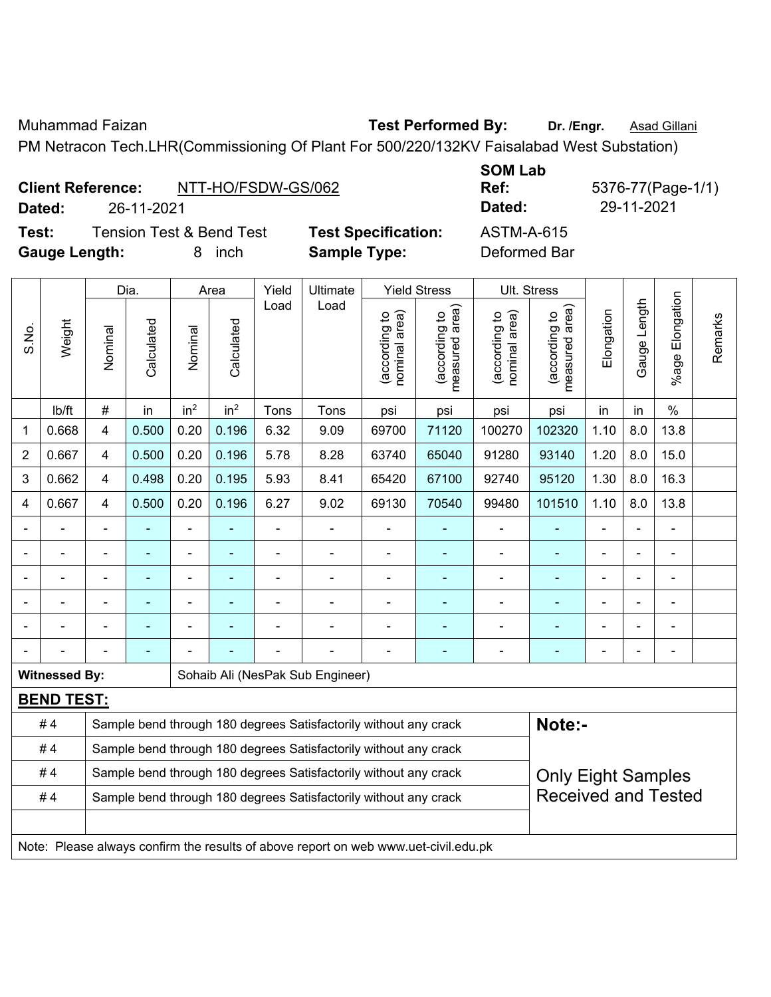Muhammad Faizan **Test Performed By:** Dr. /Engr. **Asad Gillani** 

PM Netracon Tech.LHR(Commissioning Of Plant For 500/220/132KV Faisalabad West Substation)

|        | <b>Client Reference:</b><br>NTT-HO/FSDW-GS/062 |                            | ---------<br>Ref: | 5376-77(Pag |
|--------|------------------------------------------------|----------------------------|-------------------|-------------|
| Dated: | 26-11-2021                                     |                            | Dated:            | 29-11-2021  |
| Test:  | Tension Test & Bend Test                       | <b>Test Specification:</b> | ASTM-A-615        |             |

**Specification:** ASTM-A-615 **Gauge Length:** 8 inch **Sample Type:** Deformed Bar

**SOM Lab Ref:** 5376-77(Page-1/1)

|                |                      |                                                                  | Dia.           |                 | Area            | Yield          | Ultimate                                                         |                               | <b>Yield Stress</b>             | Ult. Stress                    |                                 |                          |                |                 |         |
|----------------|----------------------|------------------------------------------------------------------|----------------|-----------------|-----------------|----------------|------------------------------------------------------------------|-------------------------------|---------------------------------|--------------------------------|---------------------------------|--------------------------|----------------|-----------------|---------|
| S.No.          | Weight               | Nominal                                                          | Calculated     | Nominal         | Calculated      | Load           | Load                                                             | nominal area)<br>according to | measured area)<br>(according to | nominal area)<br>(according to | measured area)<br>(according to | Elongation               | Gauge Length   | %age Elongation | Remarks |
|                | lb/ft                | #                                                                | in             | in <sup>2</sup> | in <sup>2</sup> | Tons           | Tons                                                             | psi                           | psi                             | psi                            | psi                             | in                       | in             | $\%$            |         |
| $\mathbf{1}$   | 0.668                | 4                                                                | 0.500          | 0.20            | 0.196           | 6.32           | 9.09                                                             | 69700                         | 71120                           | 100270                         | 102320                          | 1.10                     | 8.0            | 13.8            |         |
| $\overline{2}$ | 0.667                | 4                                                                | 0.500          | 0.20            | 0.196           | 5.78           | 8.28                                                             | 63740                         | 65040                           | 91280                          | 93140                           | 1.20                     | 8.0            | 15.0            |         |
| 3              | 0.662                | 4                                                                | 0.498          | 0.20            | 0.195           | 5.93           | 8.41                                                             | 65420                         | 67100                           | 92740                          | 95120                           | 1.30                     | 8.0            | 16.3            |         |
| 4              | 0.667                | $\overline{4}$                                                   | 0.500          | 0.20            | 0.196           | 6.27           | 9.02                                                             | 69130                         | 70540                           | 99480                          | 101510                          | 1.10                     | 8.0            | 13.8            |         |
|                |                      | L.                                                               |                |                 | ä,              | ä,             |                                                                  | ä,                            | Ξ                               | L,                             |                                 |                          | ÷.             |                 |         |
|                |                      |                                                                  |                |                 | $\blacksquare$  | $\blacksquare$ |                                                                  | L.                            | $\blacksquare$                  | $\blacksquare$                 |                                 |                          | L.             |                 |         |
|                |                      |                                                                  |                | -               |                 | $\blacksquare$ |                                                                  | $\blacksquare$                | ۰                               |                                |                                 |                          | $\blacksquare$ |                 |         |
|                |                      | $\blacksquare$                                                   | ٠              | ÷               | ۰               | -              | $\blacksquare$                                                   | $\blacksquare$                | ۰                               | ٠                              |                                 | $\blacksquare$           | $\blacksquare$ |                 |         |
|                |                      | $\blacksquare$                                                   | $\blacksquare$ | ä,              | ۰               | ä,             | $\blacksquare$                                                   | $\blacksquare$                | ۰                               | ٠                              |                                 | $\overline{\phantom{0}}$ | $\blacksquare$ |                 |         |
|                |                      |                                                                  |                |                 |                 |                |                                                                  |                               | ۰                               |                                |                                 |                          | $\blacksquare$ |                 |         |
|                | <b>Witnessed By:</b> |                                                                  |                |                 |                 |                | Sohaib Ali (NesPak Sub Engineer)                                 |                               |                                 |                                |                                 |                          |                |                 |         |
|                | <b>BEND TEST:</b>    |                                                                  |                |                 |                 |                |                                                                  |                               |                                 |                                |                                 |                          |                |                 |         |
|                | #4                   |                                                                  |                |                 |                 |                | Sample bend through 180 degrees Satisfactorily without any crack |                               |                                 |                                | Note:-                          |                          |                |                 |         |
|                | #4                   | Sample bend through 180 degrees Satisfactorily without any crack |                |                 |                 |                |                                                                  |                               |                                 |                                |                                 |                          |                |                 |         |
|                | #4                   |                                                                  |                |                 |                 |                | Sample bend through 180 degrees Satisfactorily without any crack |                               |                                 |                                | <b>Only Eight Samples</b>       |                          |                |                 |         |
|                | #4                   |                                                                  |                |                 |                 |                | Sample bend through 180 degrees Satisfactorily without any crack |                               |                                 |                                | <b>Received and Tested</b>      |                          |                |                 |         |
|                |                      |                                                                  |                |                 |                 |                |                                                                  |                               |                                 |                                |                                 |                          |                |                 |         |
|                |                      |                                                                  |                |                 |                 |                |                                                                  |                               |                                 |                                |                                 |                          |                |                 |         |

Note: Please always confirm the results of above report on web www.uet-civil.edu.pk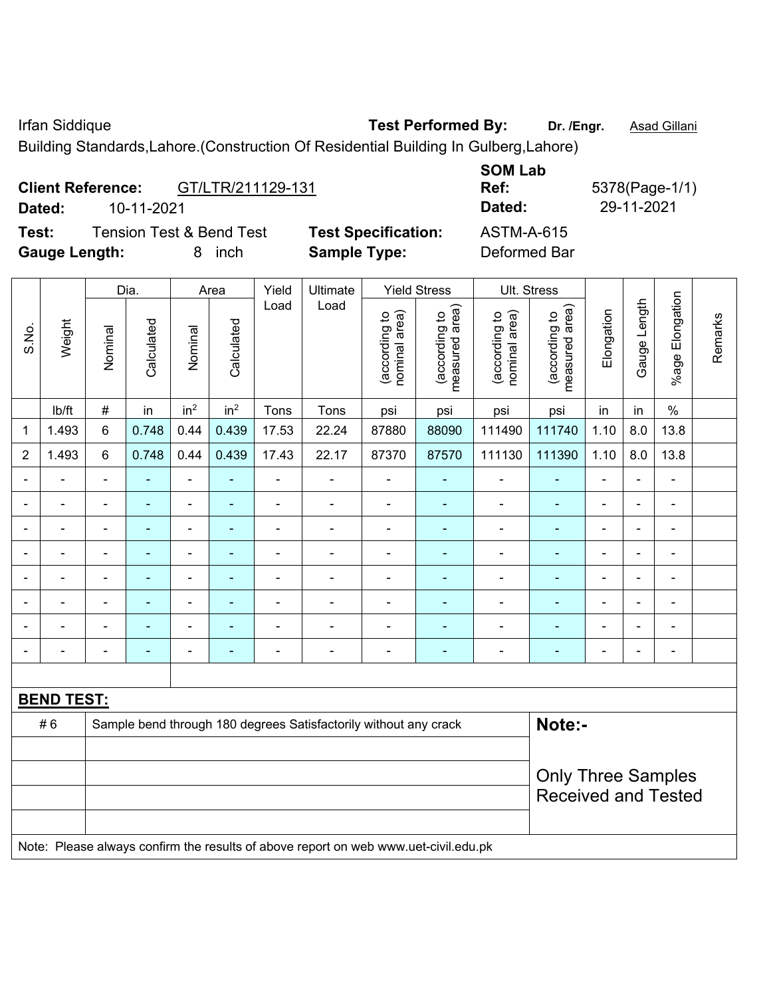Irfan Siddique **Test Performed By:** Dr. /Engr. **Asad Gillani** 

Building Standards,Lahore.(Construction Of Residential Building In Gulberg,Lahore)

|                | <b>Gauge Length:</b> |                |                | 8                            | inch            |                | <b>Sample Type:</b>                                                                 |                                |                                 | Deformed Bar                   |                                 |                |                |                          |         |
|----------------|----------------------|----------------|----------------|------------------------------|-----------------|----------------|-------------------------------------------------------------------------------------|--------------------------------|---------------------------------|--------------------------------|---------------------------------|----------------|----------------|--------------------------|---------|
|                |                      |                | Dia.           |                              | Area            | Yield          | Ultimate                                                                            |                                | <b>Yield Stress</b>             | Ult. Stress                    |                                 |                |                |                          |         |
| S.No.          | Weight               | Nominal        | Calculated     | Nominal                      | Calculated      | Load           | Load                                                                                | (according to<br>nominal area) | (according to<br>measured area) | (according to<br>nominal area) | (according to<br>measured area) | Elongation     | Gauge Length   | %age Elongation          | Remarks |
|                | lb/ft                | $\#$           | in             | in <sup>2</sup>              | in <sup>2</sup> | Tons           | Tons                                                                                | psi                            | psi                             | psi                            | psi                             | in             | in             | $\%$                     |         |
| $\mathbf{1}$   | 1.493                | $6\phantom{1}$ | 0.748          | 0.44                         | 0.439           | 17.53          | 22.24                                                                               | 87880                          | 88090                           | 111490                         | 111740                          | 1.10           | 8.0            | 13.8                     |         |
| $\overline{2}$ | 1.493                | 6              | 0.748          | 0.44                         | 0.439           | 17.43          | 22.17                                                                               | 87370                          | 87570                           | 111130                         | 111390                          | 1.10           | 8.0            | 13.8                     |         |
| $\blacksquare$ |                      | $\blacksquare$ | ä,             | $\frac{1}{2}$                | $\blacksquare$  | ä,             | L,                                                                                  | $\blacksquare$                 | $\blacksquare$                  | $\blacksquare$                 | ÷,                              | $\blacksquare$ | ä,             | ÷,                       |         |
|                |                      | $\blacksquare$ | ÷,             | ÷,                           | $\blacksquare$  | ä,             | ÷                                                                                   | $\blacksquare$                 | $\blacksquare$                  | $\qquad \qquad \blacksquare$   | ÷,                              | $\blacksquare$ | ÷,             | $\blacksquare$           |         |
| $\overline{a}$ | $\blacksquare$       | $\blacksquare$ | $\blacksquare$ | $\overline{\phantom{0}}$     | ÷               | $\blacksquare$ | $\blacksquare$                                                                      | $\blacksquare$                 | $\blacksquare$                  | $\overline{\phantom{a}}$       | ٠                               | $\blacksquare$ | $\blacksquare$ | ۰                        |         |
|                | $\blacksquare$       | $\blacksquare$ | $\blacksquare$ | $\qquad \qquad \blacksquare$ | $\blacksquare$  | $\blacksquare$ | ÷,                                                                                  | $\qquad \qquad \blacksquare$   | $\blacksquare$                  | $\qquad \qquad \blacksquare$   | ÷                               | $\blacksquare$ | ÷,             | $\blacksquare$           |         |
| $\blacksquare$ | $\blacksquare$       | ä,             | ä,             | ÷,                           | ä,              | $\blacksquare$ | ä,                                                                                  | $\overline{\phantom{a}}$       | $\blacksquare$                  | $\blacksquare$                 | ÷                               | $\blacksquare$ | ä,             | $\blacksquare$           |         |
|                |                      | ä,             | ä,             | ÷                            | ÷,              | L,             | ÷,                                                                                  | $\blacksquare$                 | $\blacksquare$                  | $\blacksquare$                 | ÷                               | $\blacksquare$ | $\blacksquare$ | ä,                       |         |
|                |                      | ä,             | $\blacksquare$ | ä,                           | -               | L,             | ä,                                                                                  | $\blacksquare$                 | L,                              | $\blacksquare$                 | ٠                               | $\blacksquare$ | $\blacksquare$ | $\blacksquare$           |         |
|                |                      | $\blacksquare$ | $\blacksquare$ | ÷                            | ÷               | Ē,             | $\blacksquare$                                                                      | $\blacksquare$                 | $\blacksquare$                  | $\blacksquare$                 | ٠                               | $\blacksquare$ | $\blacksquare$ | $\overline{\phantom{0}}$ |         |
|                |                      |                |                |                              |                 |                |                                                                                     |                                |                                 |                                |                                 |                |                |                          |         |
|                | <b>BEND TEST:</b>    |                |                |                              |                 |                |                                                                                     |                                |                                 |                                |                                 |                |                |                          |         |
|                | #6                   |                |                |                              |                 |                | Sample bend through 180 degrees Satisfactorily without any crack                    |                                |                                 |                                | Note:-                          |                |                |                          |         |
|                |                      |                |                |                              |                 |                |                                                                                     |                                |                                 |                                |                                 |                |                |                          |         |
|                |                      |                |                |                              |                 |                |                                                                                     |                                |                                 |                                | <b>Only Three Samples</b>       |                |                |                          |         |
|                |                      |                |                |                              |                 |                |                                                                                     |                                |                                 |                                | <b>Received and Tested</b>      |                |                |                          |         |
|                |                      |                |                |                              |                 |                | Note: Please always confirm the results of above report on web www.uet-civil.edu.pk |                                |                                 |                                |                                 |                |                |                          |         |
|                |                      |                |                |                              |                 |                |                                                                                     |                                |                                 |                                |                                 |                |                |                          |         |

**SOM Lab Ref:** 5378(Page-1/1) **Dated:** 10-11-2021 **Dated:** 29-11-2021

**Test:** Tension Test & Bend Test **Test Specification:** ASTM-A-615

**Client Reference:** GT/LTR/211129-131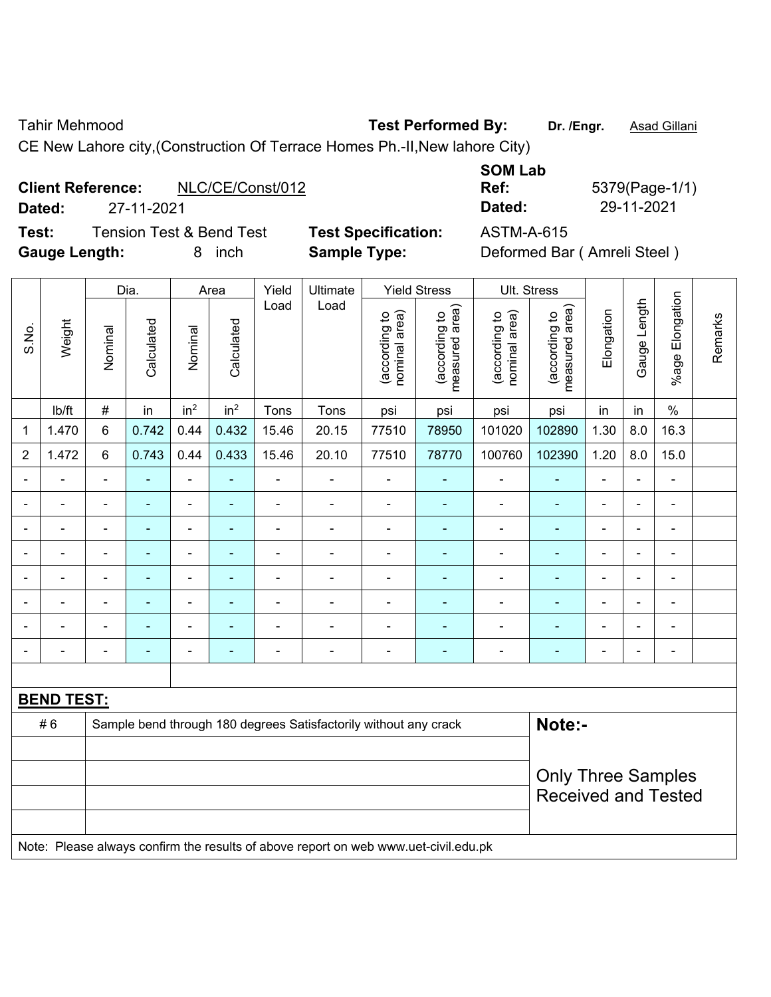Tahir Mehmood **Test Performed By:** Dr. /Engr. **Asad Gillani** 

CE New Lahore city,(Construction Of Terrace Homes Ph.-II,New lahore City)

## **Client Reference:** NLC/CE/Const/012

**Test:** Tension Test & Bend Test **Test Specification:** ASTM-A-615 Gauge Length: **8** inch **Sample Type:** Deformed Bar (Amreli Steel)

**SOM Lab Ref:** 5379(Page-1/1) **Dated:** 27-11-2021 **Dated:** 29-11-2021

|                |                   |                | Dia.           |                 | Area            | Yield                    | Ultimate                                                                            |                                | <b>Yield Stress</b>             |                                | Ult. Stress                     |                |                |                         |         |
|----------------|-------------------|----------------|----------------|-----------------|-----------------|--------------------------|-------------------------------------------------------------------------------------|--------------------------------|---------------------------------|--------------------------------|---------------------------------|----------------|----------------|-------------------------|---------|
| S.No.          | Weight            | Nominal        | Calculated     | Nominal         | Calculated      | Load                     | Load                                                                                | nominal area)<br>(according to | (according to<br>measured area) | (according to<br>nominal area) | (according to<br>measured area) | Elongation     | Gauge Length   | Elongation<br>$%$ age I | Remarks |
|                | lb/ft             | $\#$           | in             | in <sup>2</sup> | in <sup>2</sup> | Tons                     | Tons                                                                                | psi                            | psi                             | psi                            | psi                             | in             | in             | $\%$                    |         |
| $\mathbf 1$    | 1.470             | $\,6$          | 0.742          | 0.44            | 0.432           | 15.46                    | 20.15                                                                               | 77510                          | 78950                           | 101020                         | 102890                          | 1.30           | 8.0            | 16.3                    |         |
| $\overline{2}$ | 1.472             | $\,6\,$        | 0.743          | 0.44            | 0.433           | 15.46                    | 20.10                                                                               | 77510                          | 78770                           | 100760                         | 102390                          | 1.20           | 8.0            | 15.0                    |         |
|                | ä,                | $\blacksquare$ | ÷,             | $\frac{1}{2}$   | ۰               | $\blacksquare$           | ÷,                                                                                  | $\blacksquare$                 | $\overline{\phantom{a}}$        | $\blacksquare$                 | $\blacksquare$                  | ä,             | $\blacksquare$ | $\blacksquare$          |         |
|                | $\blacksquare$    | $\blacksquare$ | $\blacksquare$ | $\frac{1}{2}$   | $\blacksquare$  | $\overline{\phantom{a}}$ | ÷,                                                                                  | ä,                             | $\blacksquare$                  | $\blacksquare$                 | $\blacksquare$                  | $\blacksquare$ | $\blacksquare$ | $\blacksquare$          |         |
|                | $\blacksquare$    | $\blacksquare$ | $\blacksquare$ | ÷,              | ۰               | ä,                       | $\blacksquare$                                                                      | $\blacksquare$                 | $\blacksquare$                  | $\blacksquare$                 | $\blacksquare$                  | $\blacksquare$ |                | $\blacksquare$          |         |
|                |                   |                |                | ÷               | ۰               | $\overline{a}$           | ÷,                                                                                  |                                | $\overline{\phantom{a}}$        | ä,                             | ÷                               |                |                | ä,                      |         |
|                |                   |                |                | ۰               | $\blacksquare$  | $\blacksquare$           | $\blacksquare$                                                                      |                                |                                 | $\overline{a}$                 | ۰                               |                |                |                         |         |
|                | $\blacksquare$    |                | ۰              | ۰               | $\blacksquare$  | ä,                       | $\blacksquare$                                                                      | ٠                              | $\overline{a}$                  | $\blacksquare$                 | ۰                               | $\blacksquare$ |                | $\blacksquare$          |         |
|                |                   |                |                | ÷,              | ۰               | ä,                       | $\blacksquare$                                                                      | Ē,                             |                                 | ä,                             | ۰                               | $\blacksquare$ | $\blacksquare$ | $\blacksquare$          |         |
|                |                   | $\blacksquare$ | ٠              | ÷,              | ۰               |                          | $\blacksquare$                                                                      | $\blacksquare$                 | $\blacksquare$                  | $\overline{\phantom{a}}$       | $\blacksquare$                  | $\blacksquare$ | $\blacksquare$ | $\blacksquare$          |         |
|                |                   |                |                |                 |                 |                          |                                                                                     |                                |                                 |                                |                                 |                |                |                         |         |
|                | <b>BEND TEST:</b> |                |                |                 |                 |                          |                                                                                     |                                |                                 |                                |                                 |                |                |                         |         |
|                | #6                |                |                |                 |                 |                          | Sample bend through 180 degrees Satisfactorily without any crack                    |                                |                                 |                                | Note:-                          |                |                |                         |         |
|                |                   |                |                |                 |                 |                          |                                                                                     |                                |                                 |                                |                                 |                |                |                         |         |
|                |                   |                |                |                 |                 |                          |                                                                                     |                                |                                 |                                | <b>Only Three Samples</b>       |                |                |                         |         |
|                |                   |                |                |                 |                 |                          |                                                                                     |                                |                                 |                                | <b>Received and Tested</b>      |                |                |                         |         |
|                |                   |                |                |                 |                 |                          |                                                                                     |                                |                                 |                                |                                 |                |                |                         |         |
|                |                   |                |                |                 |                 |                          | Note: Please always confirm the results of above report on web www.uet-civil.edu.pk |                                |                                 |                                |                                 |                |                |                         |         |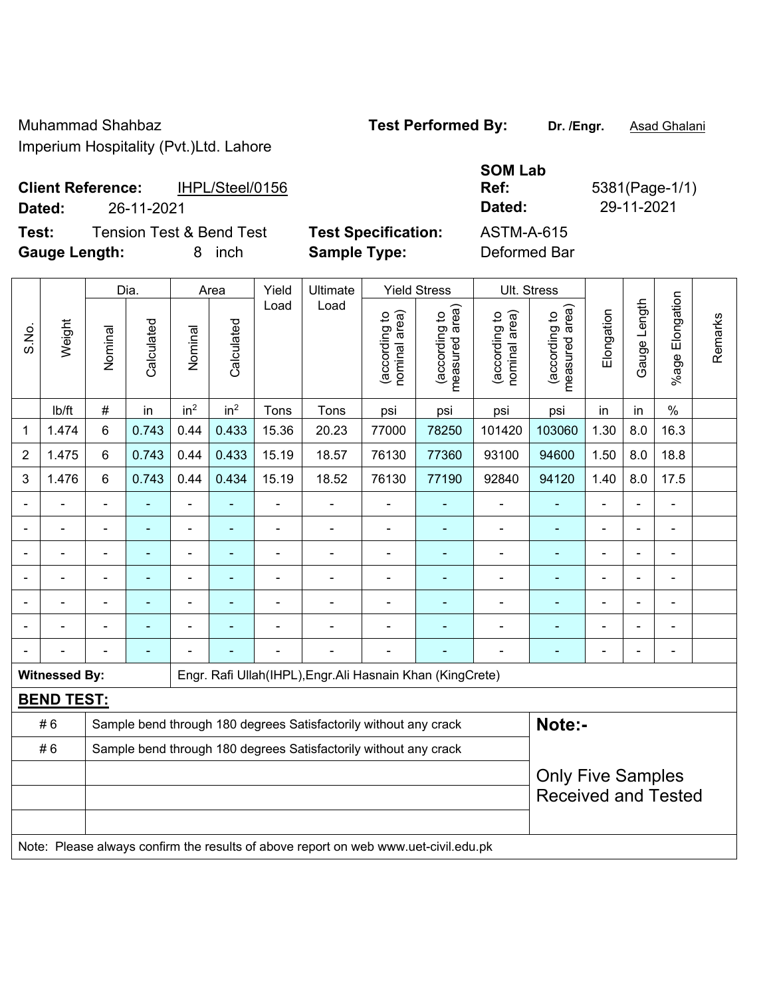Muhammad Shahbaz **Test Performed By: Dr. /Engr.** Asad Ghalani

Imperium Hospitality (Pvt.)Ltd. Lahore

| <b>Client Reference:</b> | IHPL/Steel/0156 | Ref    | 5381(Page-1 |
|--------------------------|-----------------|--------|-------------|
| Dated:                   | 26-11-2021      | Dated: | 29-11-2021  |

**Test:** Tension Test & Bend Test **Test Specification:** ASTM-A-615 **Gauge Length:** 8 inch **Sample Type:** Deformed Bar

**SOM Lab Ref:** 5381(Page-1/1)

|                |                      |                          | Dia.       |                              | Area            | Yield | Ultimate                                                                            | <b>Yield Stress</b>            |                                 | Ult. Stress                    |                                             |                |              |                       |         |
|----------------|----------------------|--------------------------|------------|------------------------------|-----------------|-------|-------------------------------------------------------------------------------------|--------------------------------|---------------------------------|--------------------------------|---------------------------------------------|----------------|--------------|-----------------------|---------|
| S.No.          | Weight               | Nominal                  | Calculated | Nominal                      | Calculated      | Load  | Load                                                                                | nominal area)<br>(according to | (according to<br>measured area) | nominal area)<br>(according to | (according to<br>neasured area)<br>measured | Elongation     | Gauge Length | Elongation<br>$%$ age | Remarks |
|                | Ib/ft                | $\#$                     | in         | in <sup>2</sup>              | in <sup>2</sup> | Tons  | Tons                                                                                | psi                            | psi                             | psi                            | psi                                         | in             | in           | $\%$                  |         |
| 1              | 1.474                | 6                        | 0.743      | 0.44                         | 0.433           | 15.36 | 20.23                                                                               | 77000                          | 78250                           | 101420                         | 103060                                      | 1.30           | 8.0          | 16.3                  |         |
| $\overline{2}$ | 1.475                | 6                        | 0.743      | 0.44                         | 0.433           | 15.19 | 18.57                                                                               | 76130                          | 77360                           | 93100                          | 94600                                       | 1.50           | 8.0          | 18.8                  |         |
| 3              | 1.476                | 6                        | 0.743      | 0.44                         | 0.434           | 15.19 | 18.52                                                                               | 76130                          | 77190                           | 92840                          | 94120                                       | 1.40           | 8.0          | 17.5                  |         |
|                |                      |                          |            |                              |                 |       |                                                                                     |                                |                                 |                                |                                             |                |              |                       |         |
|                |                      |                          | ۰          | $\qquad \qquad \blacksquare$ |                 |       | $\blacksquare$                                                                      |                                | ۰                               |                                | $\overline{\phantom{0}}$                    |                |              | $\blacksquare$        |         |
|                |                      |                          | ۰          | ۰                            |                 |       | $\blacksquare$                                                                      |                                |                                 | ä,                             | ٠                                           | $\blacksquare$ |              | ÷                     |         |
|                |                      |                          | ä,         | $\qquad \qquad \blacksquare$ |                 | ä,    | $\blacksquare$                                                                      | $\blacksquare$                 |                                 | $\blacksquare$                 | $\blacksquare$                              | $\blacksquare$ |              | ä,                    |         |
|                |                      |                          | ۰          | ۰                            |                 |       |                                                                                     | $\overline{a}$                 |                                 | ٠                              | $\blacksquare$                              |                |              | $\blacksquare$        |         |
|                |                      |                          |            |                              |                 |       |                                                                                     |                                |                                 | $\blacksquare$                 | $\blacksquare$                              |                |              |                       |         |
|                |                      |                          |            |                              |                 |       |                                                                                     |                                |                                 |                                |                                             |                |              |                       |         |
|                | <b>Witnessed By:</b> |                          |            |                              |                 |       | Engr. Rafi Ullah(IHPL), Engr. Ali Hasnain Khan (KingCrete)                          |                                |                                 |                                |                                             |                |              |                       |         |
|                | <b>BEND TEST:</b>    |                          |            |                              |                 |       |                                                                                     |                                |                                 |                                |                                             |                |              |                       |         |
|                | #6                   |                          |            |                              |                 |       | Sample bend through 180 degrees Satisfactorily without any crack                    |                                |                                 |                                | Note:-                                      |                |              |                       |         |
|                | #6                   |                          |            |                              |                 |       | Sample bend through 180 degrees Satisfactorily without any crack                    |                                |                                 |                                |                                             |                |              |                       |         |
|                |                      | <b>Only Five Samples</b> |            |                              |                 |       |                                                                                     |                                |                                 |                                |                                             |                |              |                       |         |
|                |                      |                          |            |                              |                 |       |                                                                                     |                                |                                 |                                | <b>Received and Tested</b>                  |                |              |                       |         |
|                |                      |                          |            |                              |                 |       |                                                                                     |                                |                                 |                                |                                             |                |              |                       |         |
|                |                      |                          |            |                              |                 |       | Note: Please always confirm the results of above report on web www.uet-civil.edu.pk |                                |                                 |                                |                                             |                |              |                       |         |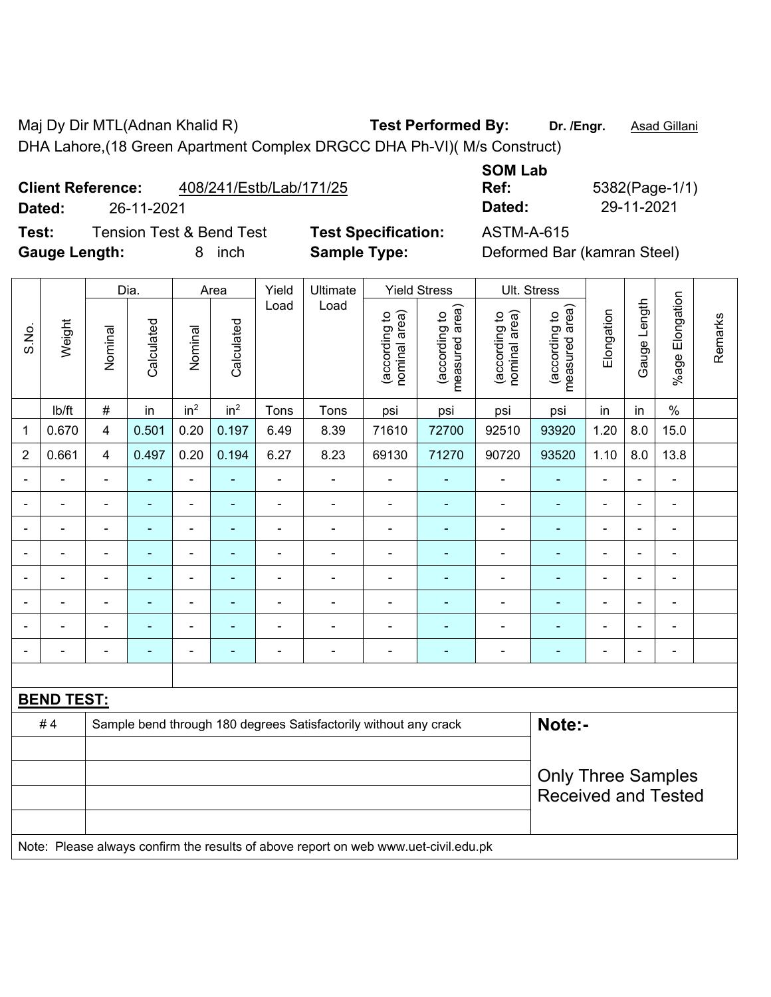Maj Dy Dir MTL(Adnan Khalid R) **Test Performed By:** Dr. /Engr. **Asad Gillani** DHA Lahore,(18 Green Apartment Complex DRGCC DHA Ph-VI)( M/s Construct)

**Client Reference:** 408/241/Estb/Lab/171/25

**Dated:** 26-11-2021 **Dated:** 29-11-2021

**Test:** Tension Test & Bend Test **Test Specification:** ASTM-A-615 **Gauge Length:** 8 inch **Sample Type:** Deformed Bar (kamran Steel)

**SOM Lab** 

**Ref:** 5382(Page-1/1)

|                | Weight                                                                              | Dia.           |                | Area                     |                 | Yield                    | Ultimate                                                         | <b>Yield Stress</b>            |                                 | Ult. Stress                    |                                 |                           |                |                 |         |  |
|----------------|-------------------------------------------------------------------------------------|----------------|----------------|--------------------------|-----------------|--------------------------|------------------------------------------------------------------|--------------------------------|---------------------------------|--------------------------------|---------------------------------|---------------------------|----------------|-----------------|---------|--|
| S.No.          |                                                                                     | Nominal        | Calculated     | Nominal                  | Calculated      | Load                     | Load                                                             | nominal area)<br>(according to | measured area)<br>(according to | nominal area)<br>(according to | (according to<br>measured area) | Elongation                | Gauge Length   | %age Elongation | Remarks |  |
|                | Ib/ft                                                                               | $\#$           | in             | in <sup>2</sup>          | in <sup>2</sup> | Tons                     | Tons                                                             | psi                            | psi                             | psi                            | psi                             | in                        | in             | $\%$            |         |  |
| 1              | 0.670                                                                               | 4              | 0.501          | 0.20                     | 0.197           | 6.49                     | 8.39                                                             | 71610                          | 72700                           | 92510                          | 93920                           | 1.20                      | 8.0            | 15.0            |         |  |
| $\overline{2}$ | 0.661                                                                               | $\overline{4}$ | 0.497          | 0.20                     | 0.194           | 6.27                     | 8.23                                                             | 69130                          | 71270                           | 90720                          | 93520                           | 1.10                      | 8.0            | 13.8            |         |  |
|                |                                                                                     | $\blacksquare$ | $\blacksquare$ | $\blacksquare$           | $\blacksquare$  | $\overline{\phantom{0}}$ | $\overline{\phantom{0}}$                                         | $\blacksquare$                 | ÷,                              | $\blacksquare$                 | $\blacksquare$                  | ä,                        |                | $\blacksquare$  |         |  |
|                |                                                                                     |                | $\overline{a}$ | $\blacksquare$           |                 | $\blacksquare$           | $\blacksquare$                                                   | $\blacksquare$                 | $\blacksquare$                  | $\blacksquare$                 | $\blacksquare$                  | $\blacksquare$            |                | $\blacksquare$  |         |  |
|                |                                                                                     |                |                |                          |                 |                          |                                                                  | Ē,                             |                                 |                                |                                 |                           |                | Ē,              |         |  |
|                |                                                                                     | $\blacksquare$ |                |                          |                 |                          | $\blacksquare$                                                   | $\blacksquare$                 | ٠                               | $\blacksquare$                 | ٠                               | $\blacksquare$            |                | $\blacksquare$  |         |  |
| $\blacksquare$ | ÷                                                                                   | $\blacksquare$ | $\blacksquare$ | $\blacksquare$           | ä,              | ä,                       | $\frac{1}{2}$                                                    | $\blacksquare$                 | ÷                               | $\qquad \qquad \blacksquare$   | $\blacksquare$                  | $\blacksquare$            | $\blacksquare$ | $\blacksquare$  |         |  |
|                | ä,                                                                                  | $\blacksquare$ | ۰              | $\blacksquare$           |                 | ÷                        | $\overline{a}$                                                   | $\blacksquare$                 |                                 | Ē,                             | Ē,                              | $\blacksquare$            |                | $\blacksquare$  |         |  |
|                | ÷                                                                                   | $\blacksquare$ | $\blacksquare$ | $\overline{\phantom{a}}$ | $\blacksquare$  | ÷                        | $\blacksquare$                                                   | $\overline{\phantom{a}}$       | $\blacksquare$                  | $\blacksquare$                 | $\blacksquare$                  | $\blacksquare$            |                | $\blacksquare$  |         |  |
|                |                                                                                     |                |                | ۰                        | $\blacksquare$  | $\blacksquare$           | $\blacksquare$                                                   | $\blacksquare$                 | $\blacksquare$                  | $\blacksquare$                 | $\overline{\phantom{a}}$        | $\blacksquare$            |                | $\blacksquare$  |         |  |
|                |                                                                                     |                |                |                          |                 |                          |                                                                  |                                |                                 |                                |                                 |                           |                |                 |         |  |
|                | <b>BEND TEST:</b>                                                                   |                |                |                          |                 |                          |                                                                  |                                |                                 |                                |                                 |                           |                |                 |         |  |
|                | #4                                                                                  |                |                |                          |                 |                          | Sample bend through 180 degrees Satisfactorily without any crack |                                |                                 |                                | Note:-                          |                           |                |                 |         |  |
|                |                                                                                     |                |                |                          |                 |                          |                                                                  |                                |                                 |                                |                                 |                           |                |                 |         |  |
|                |                                                                                     |                |                |                          |                 |                          |                                                                  |                                |                                 |                                |                                 | <b>Only Three Samples</b> |                |                 |         |  |
|                |                                                                                     |                |                |                          |                 |                          |                                                                  |                                |                                 |                                | <b>Received and Tested</b>      |                           |                |                 |         |  |
|                |                                                                                     |                |                |                          |                 |                          |                                                                  |                                |                                 |                                |                                 |                           |                |                 |         |  |
|                | Note: Please always confirm the results of above report on web www.uet-civil.edu.pk |                |                |                          |                 |                          |                                                                  |                                |                                 |                                |                                 |                           |                |                 |         |  |